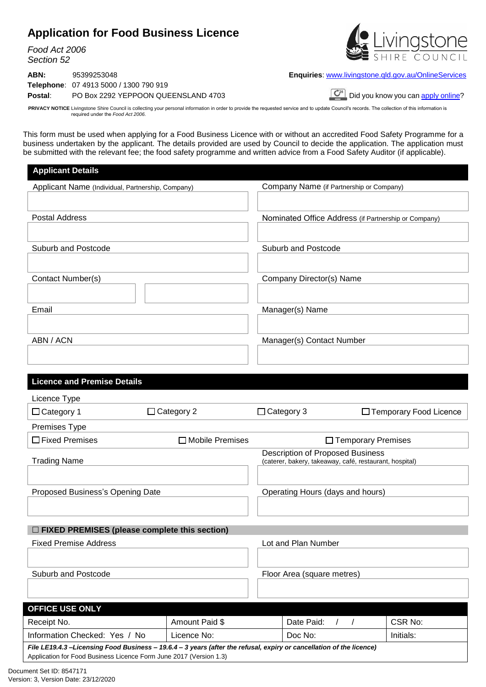# **Application for Food Business Licence**

*Food Act 2006 Section 52*

**ABN:** 95399253048 **Enquiries**: [www.livingstone.qld.gov.au/OnlineServices](http://www.livingstone.qld.gov.au/OnlineServices) **Telephone**: 07 4913 5000 / 1300 790 919 **Postal:** PO Box 2292 YEPPOON QUEENSLAND 4703 **Did** you know you can [apply online](https://mpathway.livingstone.qld.gov.au/ePathway/Production/Web/Default.aspx?js=1184785711)?

PRIVACY NOTICE Livingstone Shire Council is collecting your personal information in order to provide the requested service and to update Council's records. The collection of this information is required under the *Food Act 2006*.

This form must be used when applying for a Food Business Licence with or without an accredited Food Safety Programme for a business undertaken by the applicant. The details provided are used by Council to decide the application. The application must be submitted with the relevant fee; the food safety programme and written advice from a Food Safety Auditor (if applicable).

| <b>Applicant Details</b>                                                                                                                                                                  |                        |                                  |                                                                                                    |                      |                          |
|-------------------------------------------------------------------------------------------------------------------------------------------------------------------------------------------|------------------------|----------------------------------|----------------------------------------------------------------------------------------------------|----------------------|--------------------------|
| Applicant Name (Individual, Partnership, Company)                                                                                                                                         |                        |                                  | Company Name (if Partnership or Company)                                                           |                      |                          |
|                                                                                                                                                                                           |                        |                                  |                                                                                                    |                      |                          |
| <b>Postal Address</b>                                                                                                                                                                     |                        |                                  | Nominated Office Address (if Partnership or Company)                                               |                      |                          |
|                                                                                                                                                                                           |                        |                                  |                                                                                                    |                      |                          |
| Suburb and Postcode                                                                                                                                                                       |                        |                                  | Suburb and Postcode                                                                                |                      |                          |
|                                                                                                                                                                                           |                        |                                  |                                                                                                    |                      |                          |
|                                                                                                                                                                                           |                        |                                  |                                                                                                    |                      |                          |
| Contact Number(s)                                                                                                                                                                         |                        |                                  | Company Director(s) Name                                                                           |                      |                          |
|                                                                                                                                                                                           |                        |                                  |                                                                                                    |                      |                          |
| Email                                                                                                                                                                                     |                        |                                  | Manager(s) Name                                                                                    |                      |                          |
|                                                                                                                                                                                           |                        |                                  |                                                                                                    |                      |                          |
| ABN / ACN                                                                                                                                                                                 |                        |                                  | Manager(s) Contact Number                                                                          |                      |                          |
|                                                                                                                                                                                           |                        |                                  |                                                                                                    |                      |                          |
|                                                                                                                                                                                           |                        |                                  |                                                                                                    |                      |                          |
| <b>Licence and Premise Details</b>                                                                                                                                                        |                        |                                  |                                                                                                    |                      |                          |
| Licence Type                                                                                                                                                                              |                        |                                  |                                                                                                    |                      |                          |
| $\Box$ Category 1                                                                                                                                                                         | $\Box$ Category 2      |                                  | $\Box$ Category 3                                                                                  |                      | □ Temporary Food Licence |
| Premises Type                                                                                                                                                                             |                        |                                  |                                                                                                    |                      |                          |
| $\Box$ Fixed Premises                                                                                                                                                                     | $\Box$ Mobile Premises |                                  |                                                                                                    | □ Temporary Premises |                          |
| <b>Trading Name</b>                                                                                                                                                                       |                        |                                  | <b>Description of Proposed Business</b><br>(caterer, bakery, takeaway, café, restaurant, hospital) |                      |                          |
|                                                                                                                                                                                           |                        |                                  |                                                                                                    |                      |                          |
|                                                                                                                                                                                           |                        |                                  |                                                                                                    |                      |                          |
| Proposed Business's Opening Date                                                                                                                                                          |                        | Operating Hours (days and hours) |                                                                                                    |                      |                          |
|                                                                                                                                                                                           |                        |                                  |                                                                                                    |                      |                          |
| $\Box$ FIXED PREMISES (please complete this section)                                                                                                                                      |                        |                                  |                                                                                                    |                      |                          |
| <b>Fixed Premise Address</b>                                                                                                                                                              |                        |                                  | Lot and Plan Number                                                                                |                      |                          |
|                                                                                                                                                                                           |                        |                                  |                                                                                                    |                      |                          |
| Suburb and Postcode                                                                                                                                                                       |                        |                                  | Floor Area (square metres)                                                                         |                      |                          |
|                                                                                                                                                                                           |                        |                                  |                                                                                                    |                      |                          |
|                                                                                                                                                                                           |                        |                                  |                                                                                                    |                      |                          |
| OFFICE USE ONLY                                                                                                                                                                           |                        |                                  |                                                                                                    |                      |                          |
| Receipt No.                                                                                                                                                                               | Amount Paid \$         |                                  | Date Paid:<br>$\left  \right $                                                                     |                      | <b>CSR No:</b>           |
| Information Checked: Yes / No<br>Licence No:                                                                                                                                              |                        |                                  | Doc No:                                                                                            |                      | Initials:                |
| File LE19.4.3-Licensing Food Business - 19.6.4 - 3 years (after the refusal, expiry or cancellation of the licence)<br>Application for Food Business Licence Form June 2017 (Version 1.3) |                        |                                  |                                                                                                    |                      |                          |
| nant Sat ID: 8517171                                                                                                                                                                      |                        |                                  |                                                                                                    |                      |                          |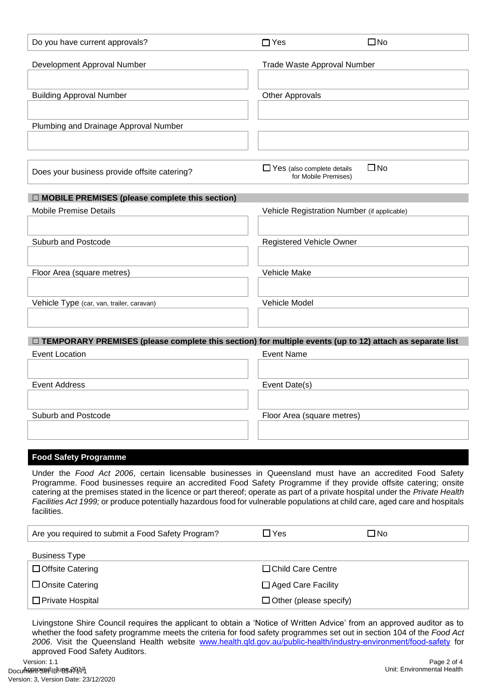| Do you have current approvals?                                                                                                                                                                                                                                                                                                                                                                                                                                                                               | $\Box$ Yes                                                | $\square$ No |
|--------------------------------------------------------------------------------------------------------------------------------------------------------------------------------------------------------------------------------------------------------------------------------------------------------------------------------------------------------------------------------------------------------------------------------------------------------------------------------------------------------------|-----------------------------------------------------------|--------------|
| Development Approval Number                                                                                                                                                                                                                                                                                                                                                                                                                                                                                  | <b>Trade Waste Approval Number</b>                        |              |
|                                                                                                                                                                                                                                                                                                                                                                                                                                                                                                              |                                                           |              |
| <b>Building Approval Number</b>                                                                                                                                                                                                                                                                                                                                                                                                                                                                              | <b>Other Approvals</b>                                    |              |
|                                                                                                                                                                                                                                                                                                                                                                                                                                                                                                              |                                                           |              |
| Plumbing and Drainage Approval Number                                                                                                                                                                                                                                                                                                                                                                                                                                                                        |                                                           |              |
|                                                                                                                                                                                                                                                                                                                                                                                                                                                                                                              |                                                           |              |
| Does your business provide offsite catering?                                                                                                                                                                                                                                                                                                                                                                                                                                                                 | $\Box$ Yes (also complete details<br>for Mobile Premises) | $\square$ No |
| $\Box$ MOBILE PREMISES (please complete this section)                                                                                                                                                                                                                                                                                                                                                                                                                                                        |                                                           |              |
| <b>Mobile Premise Details</b>                                                                                                                                                                                                                                                                                                                                                                                                                                                                                | Vehicle Registration Number (if applicable)               |              |
|                                                                                                                                                                                                                                                                                                                                                                                                                                                                                                              |                                                           |              |
| Suburb and Postcode                                                                                                                                                                                                                                                                                                                                                                                                                                                                                          | <b>Registered Vehicle Owner</b>                           |              |
|                                                                                                                                                                                                                                                                                                                                                                                                                                                                                                              |                                                           |              |
| Floor Area (square metres)                                                                                                                                                                                                                                                                                                                                                                                                                                                                                   | Vehicle Make                                              |              |
| Vehicle Type (car, van, trailer, caravan)                                                                                                                                                                                                                                                                                                                                                                                                                                                                    | Vehicle Model                                             |              |
|                                                                                                                                                                                                                                                                                                                                                                                                                                                                                                              |                                                           |              |
|                                                                                                                                                                                                                                                                                                                                                                                                                                                                                                              |                                                           |              |
| $\Box$ TEMPORARY PREMISES (please complete this section) for multiple events (up to 12) attach as separate list                                                                                                                                                                                                                                                                                                                                                                                              | <b>Event Name</b>                                         |              |
| <b>Event Location</b>                                                                                                                                                                                                                                                                                                                                                                                                                                                                                        |                                                           |              |
| <b>Event Address</b>                                                                                                                                                                                                                                                                                                                                                                                                                                                                                         | Event Date(s)                                             |              |
|                                                                                                                                                                                                                                                                                                                                                                                                                                                                                                              |                                                           |              |
| Suburb and Postcode                                                                                                                                                                                                                                                                                                                                                                                                                                                                                          | Floor Area (square metres)                                |              |
|                                                                                                                                                                                                                                                                                                                                                                                                                                                                                                              |                                                           |              |
|                                                                                                                                                                                                                                                                                                                                                                                                                                                                                                              |                                                           |              |
| <b>Food Safety Programme</b>                                                                                                                                                                                                                                                                                                                                                                                                                                                                                 |                                                           |              |
| Under the Food Act 2006, certain licensable businesses in Queensland must have an accredited Food Safety<br>Programme. Food businesses require an accredited Food Safety Programme if they provide offsite catering; onsite<br>catering at the premises stated in the licence or part thereof; operate as part of a private hospital under the Private Health<br>Facilities Act 1999; or produce potentially hazardous food for vulnerable populations at child care, aged care and hospitals<br>facilities. |                                                           |              |
| Are you required to submit a Food Safety Program?                                                                                                                                                                                                                                                                                                                                                                                                                                                            | $\Box$ Yes                                                | $\square$ No |
| <b>Business Type</b>                                                                                                                                                                                                                                                                                                                                                                                                                                                                                         |                                                           |              |
| $\Box$ Offsite Catering                                                                                                                                                                                                                                                                                                                                                                                                                                                                                      | □ Child Care Centre                                       |              |
| $\Box$ Onsite Catering                                                                                                                                                                                                                                                                                                                                                                                                                                                                                       | □ Aged Care Facility                                      |              |

□ Private Hospital Text Contract Contract Contract Contract Contract Contract Contract Contract Contract Contract Contract Contract Contract Contract Contract Contract Contract Contract Contract Contract Contract Contract

Livingstone Shire Council requires the applicant to obtain a 'Notice of Written Advice' from an approved auditor as to whether the food safety programme meets the criteria for food safety programmes set out in section 104 of the *Food Act 2006*. Visit the Queensland Health website [www.health.qld.gov.au](https://www.health.qld.gov.au/public-health/industry-environment/food-safety)/public-health/industry-environment/food-safety for approved Food Safety Auditors.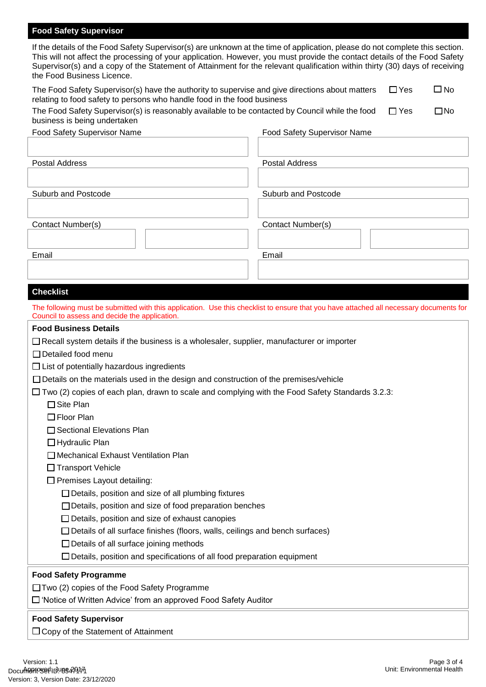## **Food Safety Supervisor**

If the details of the Food Safety Supervisor(s) are unknown at the time of application, please do not complete this section. This will not affect the processing of your application. However, you must provide the contact details of the Food Safety Supervisor(s) and a copy of the Statement of Attainment for the relevant qualification within thirty (30) days of receiving the Food Business Licence.

| The Food Safety Supervisor(s) have the authority to supervise and give directions about matters<br>relating to food safety to persons who handle food in the food business | $\Box$ Yes | $\Box$ No |
|----------------------------------------------------------------------------------------------------------------------------------------------------------------------------|------------|-----------|
| The Food Safety Supervisor(s) is reasonably available to be contacted by Council while the food<br>business is being undertaken                                            | $\Box$ Yes | ⊡No       |

| Food Safety Supervisor Name | Food Safety Supervisor Name |
|-----------------------------|-----------------------------|
|                             |                             |
| <b>Postal Address</b>       | <b>Postal Address</b>       |
|                             |                             |
| Suburb and Postcode         | Suburb and Postcode         |
|                             |                             |
| Contact Number(s)           | Contact Number(s)           |
|                             |                             |
| Email                       | Email                       |
|                             |                             |

# **Checklist**

| The following must be submitted with this application. Use this checklist to ensure that you have attached all necessary documents for<br>Council to assess and decide the application. |
|-----------------------------------------------------------------------------------------------------------------------------------------------------------------------------------------|
| <b>Food Business Details</b>                                                                                                                                                            |
| $\Box$ Recall system details if the business is a wholesaler, supplier, manufacturer or importer                                                                                        |
| $\Box$ Detailed food menu                                                                                                                                                               |
| $\Box$ List of potentially hazardous ingredients                                                                                                                                        |
| $\Box$ Details on the materials used in the design and construction of the premises/vehicle                                                                                             |
| $\Box$ Two (2) copies of each plan, drawn to scale and complying with the Food Safety Standards 3.2.3:                                                                                  |
| $\Box$ Site Plan                                                                                                                                                                        |
| $\Box$ Floor Plan                                                                                                                                                                       |
| □ Sectional Elevations Plan                                                                                                                                                             |
| □ Hydraulic Plan                                                                                                                                                                        |
| □ Mechanical Exhaust Ventilation Plan                                                                                                                                                   |
| □ Transport Vehicle                                                                                                                                                                     |
| $\Box$ Premises Layout detailing:                                                                                                                                                       |
| □ Details, position and size of all plumbing fixtures                                                                                                                                   |
| $\Box$ Details, position and size of food preparation benches                                                                                                                           |
| $\Box$ Details, position and size of exhaust canopies                                                                                                                                   |
| $\Box$ Details of all surface finishes (floors, walls, ceilings and bench surfaces)                                                                                                     |
| $\Box$ Details of all surface joining methods                                                                                                                                           |
| $\square$ Details, position and specifications of all food preparation equipment                                                                                                        |
| <b>Food Safety Programme</b>                                                                                                                                                            |
| $\Box$ Two (2) copies of the Food Safety Programme                                                                                                                                      |
| $\Box$ 'Notice of Written Advice' from an approved Food Safety Auditor                                                                                                                  |
| <b>Food Safety Supervisor</b>                                                                                                                                                           |
| $\Box$ Copy of the Statement of Attainment                                                                                                                                              |